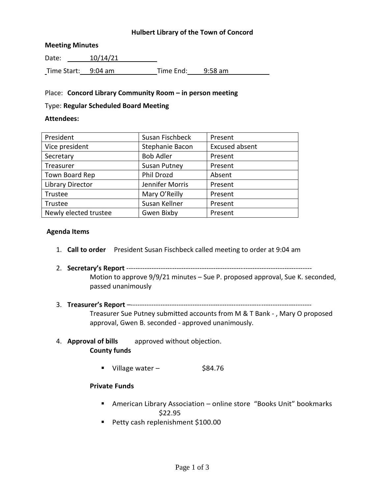### **Hulbert Library of the Town of Concord**

#### **Meeting Minutes**

Date: 10/14/21 Time Start: 9:04 am Time End: 9:58 am

### Place: **Concord Library Community Room – in person meeting**

#### Type: **Regular Scheduled Board Meeting**

#### **Attendees:**

| President               | Susan Fischbeck     | Present               |
|-------------------------|---------------------|-----------------------|
| Vice president          | Stephanie Bacon     | <b>Excused absent</b> |
| Secretary               | <b>Bob Adler</b>    | Present               |
| Treasurer               | <b>Susan Putney</b> | Present               |
| Town Board Rep          | Phil Drozd          | Absent                |
| <b>Library Director</b> | Jennifer Morris     | Present               |
| Trustee                 | Mary O'Reilly       | Present               |
| Trustee                 | Susan Kellner       | Present               |
| Newly elected trustee   | Gwen Bixby          | Present               |

#### **Agenda Items**

- 1. **Call to order** President Susan Fischbeck called meeting to order at 9:04 am
- 2. **Secretary's Report** --------------------------------------------------------------------------------- Motion to approve 9/9/21 minutes – Sue P. proposed approval, Sue K. seconded, passed unanimously
- 3. **Treasurer's Report** –-------------------------------------------------------------------------------

Treasurer Sue Putney submitted accounts from M & T Bank - , Mary O proposed approval, Gwen B. seconded - approved unanimously.

- 4. **Approval of bills** approved without objection. **County funds**
	- Village water  $$84.76$

### **Private Funds**

- American Library Association online store "Books Unit" bookmarks \$22.95
- Petty cash replenishment \$100.00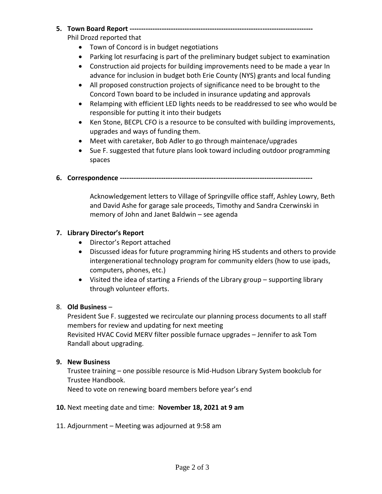## **5. Town Board Report --------------------------------------------------------------------------------**

Phil Drozd reported that

- Town of Concord is in budget negotiations
- Parking lot resurfacing is part of the preliminary budget subject to examination
- Construction aid projects for building improvements need to be made a year In advance for inclusion in budget both Erie County (NYS) grants and local funding
- All proposed construction projects of significance need to be brought to the Concord Town board to be included in insurance updating and approvals
- Relamping with efficient LED lights needs to be readdressed to see who would be responsible for putting it into their budgets
- Ken Stone, BECPL CFO is a resource to be consulted with building improvements, upgrades and ways of funding them.
- Meet with caretaker, Bob Adler to go through maintenace/upgrades
- Sue F. suggested that future plans look toward including outdoor programming spaces

## **6. Correspondence ------------------------------------------------------------------------------------**

Acknowledgement letters to Village of Springville office staff, Ashley Lowry, Beth and David Ashe for garage sale proceeds, Timothy and Sandra Czerwinski in memory of John and Janet Baldwin – see agenda

# **7. Library Director's Report**

- Director's Report attached
- Discussed ideas for future programming hiring HS students and others to provide intergenerational technology program for community elders (how to use ipads, computers, phones, etc.)
- Visited the idea of starting a Friends of the Library group supporting library through volunteer efforts.

## 8. **Old Business** –

President Sue F. suggested we recirculate our planning process documents to all staff members for review and updating for next meeting Revisited HVAC Covid MERV filter possible furnace upgrades – Jennifer to ask Tom Randall about upgrading.

## **9. New Business**

Trustee training – one possible resource is Mid-Hudson Library System bookclub for Trustee Handbook.

Need to vote on renewing board members before year's end

## **10.** Next meeting date and time: **November 18, 2021 at 9 am**

11. Adjournment – Meeting was adjourned at 9:58 am